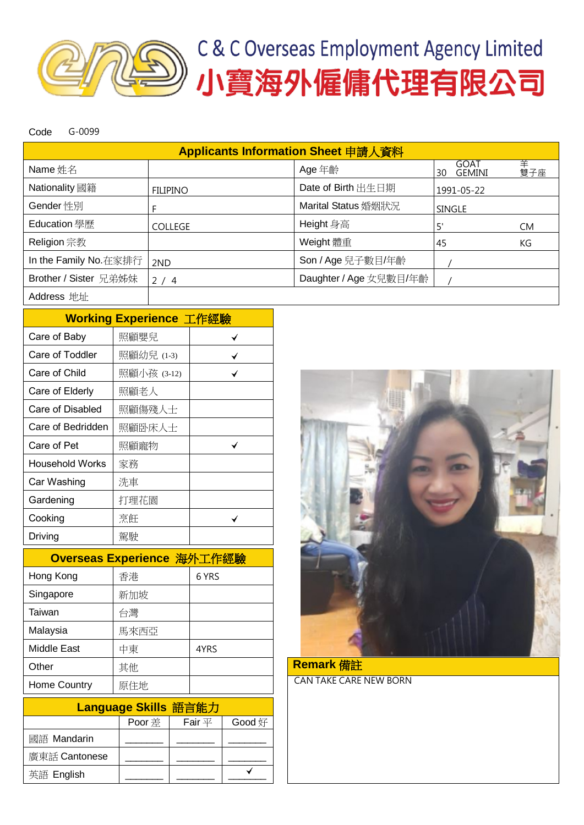

Code G-0099

| Applicants Information Sheet 申請人資料 |                 |                        |                             |          |  |  |  |  |
|------------------------------------|-----------------|------------------------|-----------------------------|----------|--|--|--|--|
| Name 姓名                            |                 | Age 年齡                 | GOAT<br><b>GEMINI</b><br>30 | 羊<br>雙子座 |  |  |  |  |
| Nationality 國籍                     | <b>FILIPINO</b> | Date of Birth 出生日期     | 1991-05-22                  |          |  |  |  |  |
| Gender 性別                          |                 | Marital Status 婚姻狀況    | <b>SINGLE</b>               |          |  |  |  |  |
| Education 學歷                       | <b>COLLEGE</b>  | Height 身高              | 5'                          | CM.      |  |  |  |  |
| Religion 宗教                        |                 | Weight 體重              | 45                          | КG       |  |  |  |  |
| In the Family No. 在家排行             | 2ND             | Son / Age 兒子數目/年齡      |                             |          |  |  |  |  |
| Brother / Sister 兄弟姊妹              | 2/4             | Daughter / Age 女兒數目/年齡 |                             |          |  |  |  |  |
| Address 地址                         |                 |                        |                             |          |  |  |  |  |

|                 | Working Experience 工作經驗 |  |
|-----------------|-------------------------|--|
| Care of Baby    | 照顧嬰兒                    |  |
| Care of Toddler | 照顧幼兒 (1-3)              |  |
|                 |                         |  |

| Care of Child          | 照顧小孩 (3-12) |  |
|------------------------|-------------|--|
| Care of Elderly        | 照顧老人        |  |
| Care of Disabled       | 照顧傷殘人士      |  |
| Care of Bedridden      | 照顧卧床人士      |  |
| Care of Pet            | 照顧寵物        |  |
| <b>Household Works</b> | 家務          |  |
| Car Washing            | 洗車          |  |
| Gardening              | 打理花園        |  |
| Cooking                | 烹飪          |  |
| Driving                | 駕駛          |  |

| Overseas Experience 海外工作經驗 |      |       |  |  |  |  |
|----------------------------|------|-------|--|--|--|--|
| Hong Kong                  | 香港   | 6 YRS |  |  |  |  |
| Singapore                  | 新加坡  |       |  |  |  |  |
| Taiwan                     | 台灣   |       |  |  |  |  |
| Malaysia                   | 馬來西亞 |       |  |  |  |  |
| <b>Middle East</b>         | 中東   | 4YRS  |  |  |  |  |
| Other                      | 其他   |       |  |  |  |  |
| Home Country               | 原住地  |       |  |  |  |  |

| Language Skills 語言能力 |        |             |        |  |  |  |  |
|----------------------|--------|-------------|--------|--|--|--|--|
|                      | Poor 差 | Fair $\Psi$ | Good 好 |  |  |  |  |
| 國語 Mandarin          |        |             |        |  |  |  |  |
| 廣東話 Cantonese        |        |             |        |  |  |  |  |
| 英語 English           |        |             |        |  |  |  |  |



Remark 備註 CAN TAKE CARE NEW BORN